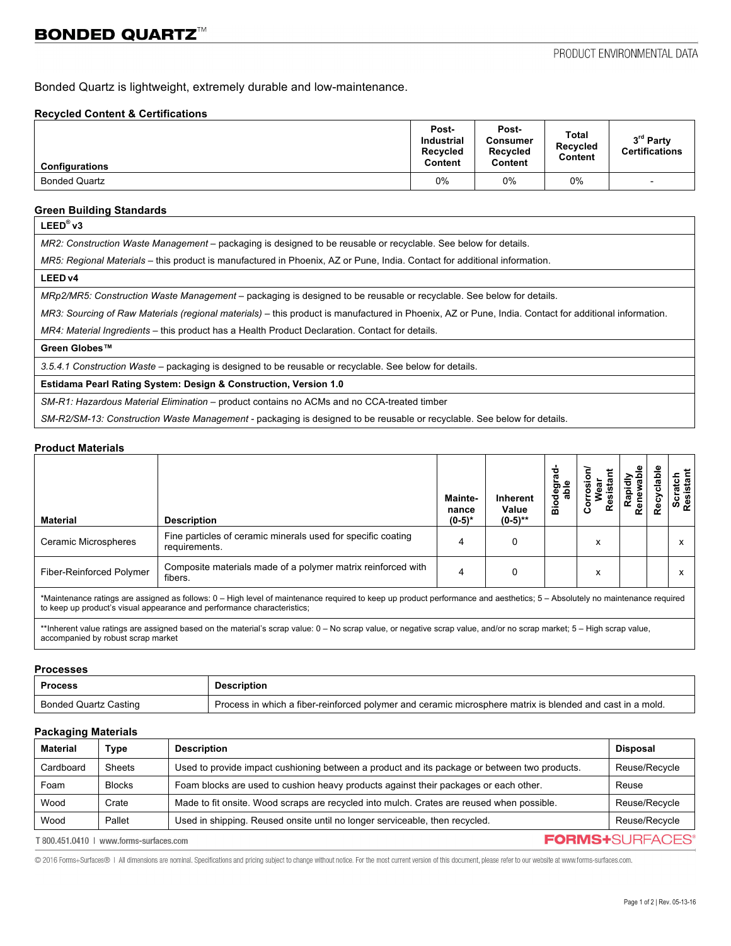Bonded Quartz is lightweight, extremely durable and low-maintenance.

## **Recycled Content & Certifications**

| <b>Configurations</b> | Post-<br><b>Industrial</b><br>Recycled<br>Content | Post-<br><b>Consumer</b><br>Recycled<br>Content | Total<br><b>Recycled</b><br>Content | 3rd Party<br><b>Certifications</b> |
|-----------------------|---------------------------------------------------|-------------------------------------------------|-------------------------------------|------------------------------------|
| <b>Bonded Quartz</b>  | 0%                                                | 0%                                              | $0\%$                               | $\overline{\phantom{0}}$           |

## **Green Building Standards**

*MR2: Construction Waste Management –* packaging is designed to be reusable or recyclable. See below for details.

*MR5: Regional Materials* – this product is manufactured in Phoenix, AZ or Pune, India. Contact for additional information.

#### **LEED v4**

*MRp2/MR5: Construction Waste Management –* packaging is designed to be reusable or recyclable. See below for details.

*MR3: Sourcing of Raw Materials (regional materials)* – this product is manufactured in Phoenix, AZ or Pune, India. Contact for additional information.

*MR4: Material Ingredients –* this product has a Health Product Declaration. Contact for details.

# **Green Globes™**

*3.5.4.1 Construction Waste* – packaging is designed to be reusable or recyclable. See below for details.

## **Estidama Pearl Rating System: Design & Construction, Version 1.0**

*SM-R1: Hazardous Material Elimination –* product contains no ACMs and no CCA-treated timber

*SM-R2/SM-13: Construction Waste Management -* packaging is designed to be reusable or recyclable. See below for details.

#### **Product Materials**

| <b>Material</b>                                                                                                                                                                                                                                       | <b>Description</b>                                                            | Mainte-<br>nance<br>$(0-5)*$ | <b>Inherent</b><br>Value<br>$(0-5)$ ** | ത<br>ත<br>ᄒ<br>٥<br>ã | ٥<br>ပ | ene | సి | Scratch<br>Resistant |
|-------------------------------------------------------------------------------------------------------------------------------------------------------------------------------------------------------------------------------------------------------|-------------------------------------------------------------------------------|------------------------------|----------------------------------------|-----------------------|--------|-----|----|----------------------|
| Ceramic Microspheres                                                                                                                                                                                                                                  | Fine particles of ceramic minerals used for specific coating<br>requirements. | 4                            |                                        |                       | х      |     |    | $\lambda$            |
| <b>Fiber-Reinforced Polymer</b>                                                                                                                                                                                                                       | Composite materials made of a polymer matrix reinforced with<br>fibers.       | 4                            |                                        |                       | х      |     |    | $\lambda$            |
| *Maintenance ratings are assigned as follows: 0 – High level of maintenance required to keep up product performance and aesthetics; 5 – Absolutely no maintenance required<br>to keep up product's visual appearance and performance characteristics; |                                                                               |                              |                                        |                       |        |     |    |                      |

\*\*Inherent value ratings are assigned based on the material's scrap value: 0 – No scrap value, or negative scrap value, and/or no scrap market; 5 – High scrap value, accompanied by robust scrap market

#### **Processes**

| <b>Process</b>        | <b>Description</b>                                                                                        |
|-----------------------|-----------------------------------------------------------------------------------------------------------|
| Bonded Quartz Casting | Process in which a fiber-reinforced polymer and ceramic microsphere matrix is blended and cast in a mold. |

# **Packaging Materials**

| <b>Material</b>                                                   | Type          | <b>Description</b>                                                                           | <b>Disposal</b> |
|-------------------------------------------------------------------|---------------|----------------------------------------------------------------------------------------------|-----------------|
| Cardboard                                                         | Sheets        | Used to provide impact cushioning between a product and its package or between two products. | Reuse/Recycle   |
| Foam                                                              | <b>Blocks</b> | Foam blocks are used to cushion heavy products against their packages or each other.         | Reuse           |
| Wood                                                              | Crate         | Made to fit onsite. Wood scraps are recycled into mulch. Crates are reused when possible.    | Reuse/Recycle   |
| Wood                                                              | Pallet        | Used in shipping. Reused onsite until no longer serviceable, then recycled.                  | Reuse/Recycle   |
| <b>FORMS+SURFACES®</b><br>T 800.451.0410   www.forms-surfaces.com |               |                                                                                              |                 |

@ 2016 Forms+Surfaces@ | All dimensions are nominal. Specifications and pricing subject to change without notice. For the most current version of this document, please refer to our website at www.forms-surfaces.com.